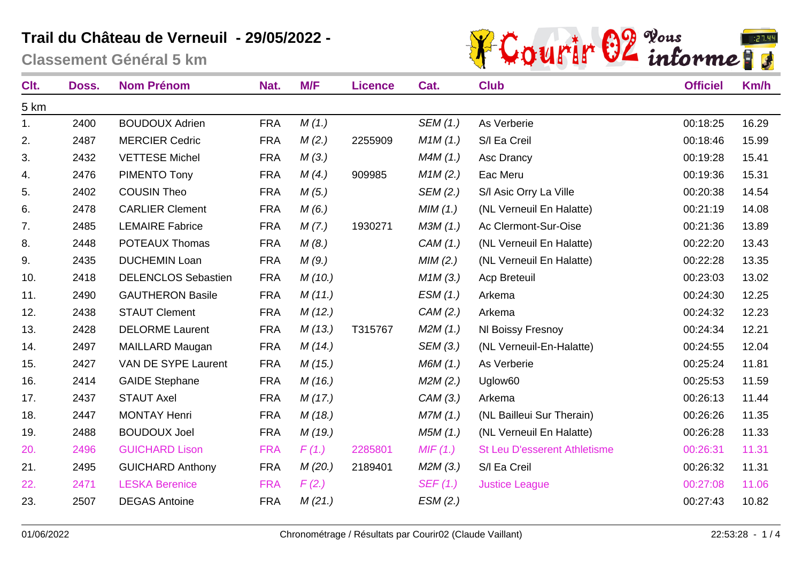**Classement Général 5 km**



| Clt. | Doss. | <b>Nom Prénom</b>          | Nat.       | M/F    | <b>Licence</b> | Cat.     | <b>Club</b>                         | <b>Officiel</b> | Km/h  |
|------|-------|----------------------------|------------|--------|----------------|----------|-------------------------------------|-----------------|-------|
| 5 km |       |                            |            |        |                |          |                                     |                 |       |
| 1.   | 2400  | <b>BOUDOUX Adrien</b>      | <b>FRA</b> | M(1.)  |                | SEM (1.) | As Verberie                         | 00:18:25        | 16.29 |
| 2.   | 2487  | <b>MERCIER Cedric</b>      | <b>FRA</b> | M(2.)  | 2255909        | M1M(1.)  | S/I Ea Creil                        | 00:18:46        | 15.99 |
| 3.   | 2432  | <b>VETTESE Michel</b>      | <b>FRA</b> | M(3.)  |                | M4M(1.)  | Asc Drancy                          | 00:19:28        | 15.41 |
| 4.   | 2476  | PIMENTO Tony               | <b>FRA</b> | M(4.)  | 909985         | M1M(2.)  | Eac Meru                            | 00:19:36        | 15.31 |
| 5.   | 2402  | <b>COUSIN Theo</b>         | <b>FRA</b> | M(5.)  |                | SEM (2.) | S/I Asic Orry La Ville              | 00:20:38        | 14.54 |
| 6.   | 2478  | <b>CARLIER Clement</b>     | <b>FRA</b> | M(6.)  |                | MIM(1.)  | (NL Verneuil En Halatte)            | 00:21:19        | 14.08 |
| 7.   | 2485  | <b>LEMAIRE Fabrice</b>     | <b>FRA</b> | M(7.)  | 1930271        | M3M(1.)  | Ac Clermont-Sur-Oise                | 00:21:36        | 13.89 |
| 8.   | 2448  | <b>POTEAUX Thomas</b>      | <b>FRA</b> | M(8.)  |                | CAM(1.)  | (NL Verneuil En Halatte)            | 00:22:20        | 13.43 |
| 9.   | 2435  | <b>DUCHEMIN Loan</b>       | <b>FRA</b> | M(9.)  |                | MIM(2.)  | (NL Verneuil En Halatte)            | 00:22:28        | 13.35 |
| 10.  | 2418  | <b>DELENCLOS Sebastien</b> | <b>FRA</b> | M(10.) |                | M1M(3.)  | <b>Acp Breteuil</b>                 | 00:23:03        | 13.02 |
| 11.  | 2490  | <b>GAUTHERON Basile</b>    | <b>FRA</b> | M(11.) |                | ESM(1.)  | Arkema                              | 00:24:30        | 12.25 |
| 12.  | 2438  | <b>STAUT Clement</b>       | <b>FRA</b> | M(12.) |                | CAM (2.) | Arkema                              | 00:24:32        | 12.23 |
| 13.  | 2428  | <b>DELORME Laurent</b>     | <b>FRA</b> | M(13.) | T315767        | M2M(1.)  | NI Boissy Fresnoy                   | 00:24:34        | 12.21 |
| 14.  | 2497  | <b>MAILLARD Maugan</b>     | <b>FRA</b> | M(14.) |                | SEM (3.) | (NL Verneuil-En-Halatte)            | 00:24:55        | 12.04 |
| 15.  | 2427  | VAN DE SYPE Laurent        | <b>FRA</b> | M(15.) |                | M6M(1.)  | As Verberie                         | 00:25:24        | 11.81 |
| 16.  | 2414  | <b>GAIDE Stephane</b>      | <b>FRA</b> | M(16.) |                | M2M(2.)  | Uglow60                             | 00:25:53        | 11.59 |
| 17.  | 2437  | <b>STAUT Axel</b>          | <b>FRA</b> | M(17.) |                | CAM (3.) | Arkema                              | 00:26:13        | 11.44 |
| 18.  | 2447  | <b>MONTAY Henri</b>        | <b>FRA</b> | M(18.) |                | M7M(1.)  | (NL Bailleui Sur Therain)           | 00:26:26        | 11.35 |
| 19.  | 2488  | <b>BOUDOUX Joel</b>        | <b>FRA</b> | M(19.) |                | M5M(1.)  | (NL Verneuil En Halatte)            | 00:26:28        | 11.33 |
| 20.  | 2496  | <b>GUICHARD Lison</b>      | <b>FRA</b> | F(1.)  | 2285801        | MIF(1.)  | <b>St Leu D'esserent Athletisme</b> | 00:26:31        | 11.31 |
| 21.  | 2495  | <b>GUICHARD Anthony</b>    | <b>FRA</b> | M(20.) | 2189401        | M2M(3.)  | S/I Ea Creil                        | 00:26:32        | 11.31 |
| 22.  | 2471  | <b>LESKA Berenice</b>      | <b>FRA</b> | F(2.)  |                | SEF(1.)  | <b>Justice League</b>               | 00:27:08        | 11.06 |
| 23.  | 2507  | <b>DEGAS Antoine</b>       | <b>FRA</b> | M(21.) |                | ESM(2.)  |                                     | 00:27:43        | 10.82 |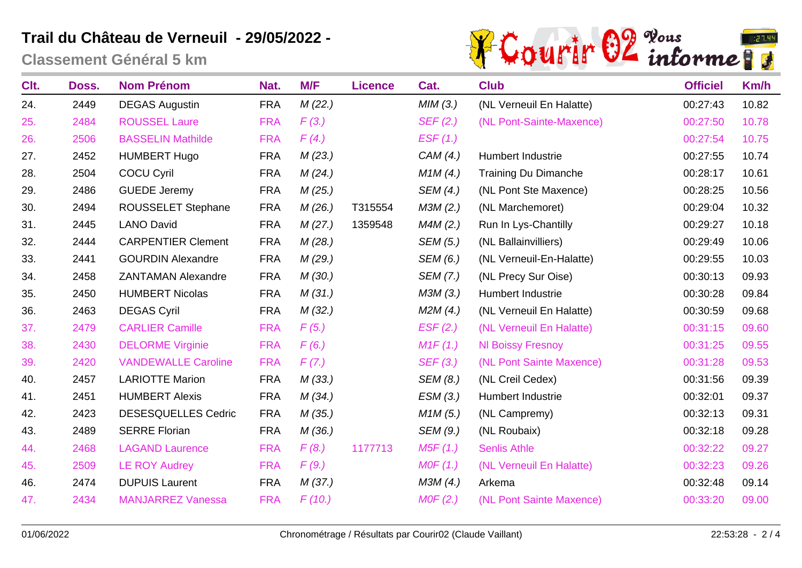**Classement Général 5 km**



| Clt. | Doss. | <b>Nom Prénom</b>          | Nat.       | M/F     | <b>Licence</b> | Cat.     | <b>Club</b>                 | <b>Officiel</b> | Km/h  |
|------|-------|----------------------------|------------|---------|----------------|----------|-----------------------------|-----------------|-------|
| 24.  | 2449  | <b>DEGAS Augustin</b>      | <b>FRA</b> | M(22.)  |                | MIM(3.)  | (NL Verneuil En Halatte)    | 00:27:43        | 10.82 |
| 25.  | 2484  | <b>ROUSSEL Laure</b>       | <b>FRA</b> | F(3.)   |                | SEF(2.)  | (NL Pont-Sainte-Maxence)    | 00:27:50        | 10.78 |
| 26.  | 2506  | <b>BASSELIN Mathilde</b>   | <b>FRA</b> | F(4)    |                | EST(1.)  |                             | 00:27:54        | 10.75 |
| 27.  | 2452  | <b>HUMBERT Hugo</b>        | <b>FRA</b> | M(23.)  |                | CAM(4.)  | Humbert Industrie           | 00:27:55        | 10.74 |
| 28.  | 2504  | <b>COCU Cyril</b>          | <b>FRA</b> | M(24)   |                | M1M(4.)  | <b>Training Du Dimanche</b> | 00:28:17        | 10.61 |
| 29.  | 2486  | <b>GUEDE Jeremy</b>        | <b>FRA</b> | M(25.)  |                | SEM (4.) | (NL Pont Ste Maxence)       | 00:28:25        | 10.56 |
| 30.  | 2494  | <b>ROUSSELET Stephane</b>  | <b>FRA</b> | M(26.)  | T315554        | M3M (2.) | (NL Marchemoret)            | 00:29:04        | 10.32 |
| 31.  | 2445  | <b>LANO David</b>          | <b>FRA</b> | M(27.)  | 1359548        | M4M(2.)  | Run In Lys-Chantilly        | 00:29:27        | 10.18 |
| 32.  | 2444  | <b>CARPENTIER Clement</b>  | <b>FRA</b> | M(28.)  |                | SEM (5.) | (NL Ballainvilliers)        | 00:29:49        | 10.06 |
| 33.  | 2441  | <b>GOURDIN Alexandre</b>   | <b>FRA</b> | M (29.) |                | SEM (6.) | (NL Verneuil-En-Halatte)    | 00:29:55        | 10.03 |
| 34.  | 2458  | <b>ZANTAMAN Alexandre</b>  | <b>FRA</b> | M(30.)  |                | SEM (7.) | (NL Precy Sur Oise)         | 00:30:13        | 09.93 |
| 35.  | 2450  | <b>HUMBERT Nicolas</b>     | <b>FRA</b> | M(31.)  |                | M3M (3.) | Humbert Industrie           | 00:30:28        | 09.84 |
| 36.  | 2463  | <b>DEGAS Cyril</b>         | <b>FRA</b> | M(32.)  |                | M2M(4)   | (NL Verneuil En Halatte)    | 00:30:59        | 09.68 |
| 37.  | 2479  | <b>CARLIER Camille</b>     | <b>FRA</b> | F(5.)   |                | EST(2.)  | (NL Verneuil En Halatte)    | 00:31:15        | 09.60 |
| 38.  | 2430  | <b>DELORME Virginie</b>    | <b>FRA</b> | F(6.)   |                | M1F(1.)  | <b>NI Boissy Fresnoy</b>    | 00:31:25        | 09.55 |
| 39.  | 2420  | <b>VANDEWALLE Caroline</b> | <b>FRA</b> | F(7.)   |                | SEF(3.)  | (NL Pont Sainte Maxence)    | 00:31:28        | 09.53 |
| 40.  | 2457  | <b>LARIOTTE Marion</b>     | <b>FRA</b> | M(33.)  |                | SEM (8.) | (NL Creil Cedex)            | 00:31:56        | 09.39 |
| 41.  | 2451  | <b>HUMBERT Alexis</b>      | <b>FRA</b> | M(34.)  |                | ESM(3.)  | Humbert Industrie           | 00:32:01        | 09.37 |
| 42.  | 2423  | <b>DESESQUELLES Cedric</b> | <b>FRA</b> | M (35.) |                | M1M(5.)  | (NL Campremy)               | 00:32:13        | 09.31 |
| 43.  | 2489  | <b>SERRE Florian</b>       | <b>FRA</b> | M(36.)  |                | SEM (9.) | (NL Roubaix)                | 00:32:18        | 09.28 |
| 44.  | 2468  | <b>LAGAND Laurence</b>     | <b>FRA</b> | F(8.)   | 1177713        | M5F(1.)  | <b>Senlis Athle</b>         | 00:32:22        | 09.27 |
| 45.  | 2509  | <b>LE ROY Audrey</b>       | <b>FRA</b> | F(9.)   |                | MOF(1.)  | (NL Verneuil En Halatte)    | 00:32:23        | 09.26 |
| 46.  | 2474  | <b>DUPUIS Laurent</b>      | <b>FRA</b> | M (37.) |                | M3M (4.) | Arkema                      | 00:32:48        | 09.14 |
| 47.  | 2434  | <b>MANJARREZ Vanessa</b>   | <b>FRA</b> | F(10.)  |                | MOF(2.)  | (NL Pont Sainte Maxence)    | 00:33:20        | 09.00 |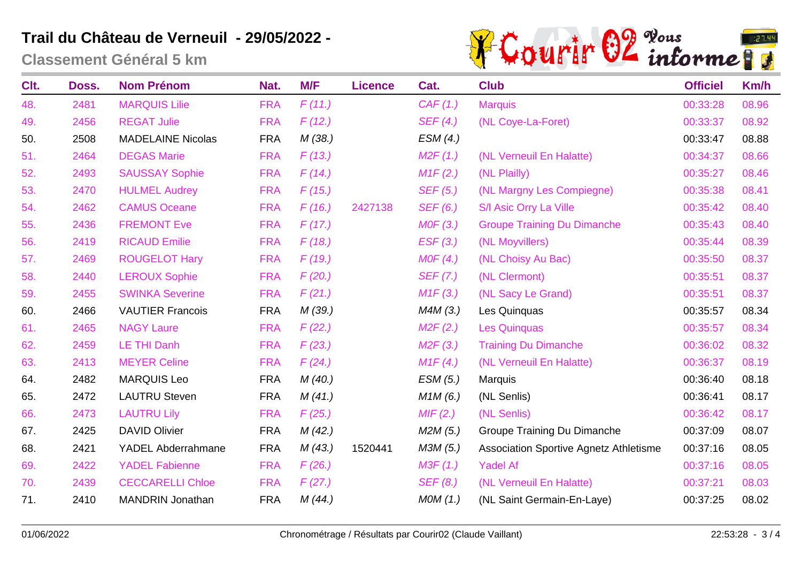**Classement Général 5 km**



| Clt. | Doss. | <b>Nom Prénom</b>        | Nat.       | M/F    | <b>Licence</b> | Cat.     | <b>Club</b>                            | <b>Officiel</b> | Km/h  |
|------|-------|--------------------------|------------|--------|----------------|----------|----------------------------------------|-----------------|-------|
| 48.  | 2481  | <b>MARQUIS Lilie</b>     | <b>FRA</b> | F(11.) |                | CAF(1.)  | <b>Marquis</b>                         | 00:33:28        | 08.96 |
| 49.  | 2456  | <b>REGAT Julie</b>       | <b>FRA</b> | F(12.) |                | SEF(4.)  | (NL Coye-La-Foret)                     | 00:33:37        | 08.92 |
| 50.  | 2508  | <b>MADELAINE Nicolas</b> | <b>FRA</b> | M(38.) |                | ESM(4.)  |                                        | 00:33:47        | 08.88 |
| 51.  | 2464  | <b>DEGAS Marie</b>       | <b>FRA</b> | F(13.) |                | M2F(1.)  | (NL Verneuil En Halatte)               | 00:34:37        | 08.66 |
| 52.  | 2493  | <b>SAUSSAY Sophie</b>    | <b>FRA</b> | F(14)  |                | M1F(2.)  | (NL Plailly)                           | 00:35:27        | 08.46 |
| 53.  | 2470  | <b>HULMEL Audrey</b>     | <b>FRA</b> | F(15.) |                | SEF(5.)  | (NL Margny Les Compiegne)              | 00:35:38        | 08.41 |
| 54.  | 2462  | <b>CAMUS Oceane</b>      | <b>FRA</b> | F(16.) | 2427138        | SEF (6.) | S/I Asic Orry La Ville                 | 00:35:42        | 08.40 |
| 55.  | 2436  | <b>FREMONT Eve</b>       | <b>FRA</b> | F(17.) |                | MOF(3.)  | <b>Groupe Training Du Dimanche</b>     | 00:35:43        | 08.40 |
| 56.  | 2419  | <b>RICAUD Emilie</b>     | <b>FRA</b> | F(18.) |                | EST(3.)  | (NL Moyvillers)                        | 00:35:44        | 08.39 |
| 57.  | 2469  | <b>ROUGELOT Hary</b>     | <b>FRA</b> | F(19.) |                | MOF(4.)  | (NL Choisy Au Bac)                     | 00:35:50        | 08.37 |
| 58.  | 2440  | <b>LEROUX Sophie</b>     | <b>FRA</b> | F(20.) |                | SEF (7.) | (NL Clermont)                          | 00:35:51        | 08.37 |
| 59.  | 2455  | <b>SWINKA Severine</b>   | <b>FRA</b> | F(21.) |                | M1F(3.)  | (NL Sacy Le Grand)                     | 00:35:51        | 08.37 |
| 60.  | 2466  | <b>VAUTIER Francois</b>  | <b>FRA</b> | M(39.) |                | M4M(3)   | Les Quinquas                           | 00:35:57        | 08.34 |
| 61.  | 2465  | <b>NAGY Laure</b>        | <b>FRA</b> | F(22.) |                | M2F(2.)  | <b>Les Quinquas</b>                    | 00:35:57        | 08.34 |
| 62.  | 2459  | <b>LE THI Danh</b>       | <b>FRA</b> | F(23.) |                | M2F(3.)  | <b>Training Du Dimanche</b>            | 00:36:02        | 08.32 |
| 63.  | 2413  | <b>MEYER Celine</b>      | <b>FRA</b> | F(24.) |                | M1F(4)   | (NL Verneuil En Halatte)               | 00:36:37        | 08.19 |
| 64.  | 2482  | <b>MARQUIS Leo</b>       | <b>FRA</b> | M(40.) |                | ESM (5.) | Marquis                                | 00:36:40        | 08.18 |
| 65.  | 2472  | <b>LAUTRU Steven</b>     | <b>FRA</b> | M(41.) |                | M1M(6.)  | (NL Senlis)                            | 00:36:41        | 08.17 |
| 66.  | 2473  | <b>LAUTRU Lily</b>       | <b>FRA</b> | F(25.) |                | MIF(2.)  | (NL Senlis)                            | 00:36:42        | 08.17 |
| 67.  | 2425  | <b>DAVID Olivier</b>     | <b>FRA</b> | M(42.) |                | M2M(5.)  | Groupe Training Du Dimanche            | 00:37:09        | 08.07 |
| 68.  | 2421  | YADEL Abderrahmane       | <b>FRA</b> | M(43.) | 1520441        | M3M (5.) | Association Sportive Agnetz Athletisme | 00:37:16        | 08.05 |
| 69.  | 2422  | <b>YADEL Fabienne</b>    | <b>FRA</b> | F(26.) |                | M3F(1.)  | <b>Yadel Af</b>                        | 00:37:16        | 08.05 |
| 70.  | 2439  | <b>CECCARELLI Chloe</b>  | <b>FRA</b> | F(27.) |                | SEF(8.)  | (NL Verneuil En Halatte)               | 00:37:21        | 08.03 |
| 71.  | 2410  | <b>MANDRIN Jonathan</b>  | <b>FRA</b> | M(44)  |                | MOM(1.)  | (NL Saint Germain-En-Laye)             | 00:37:25        | 08.02 |